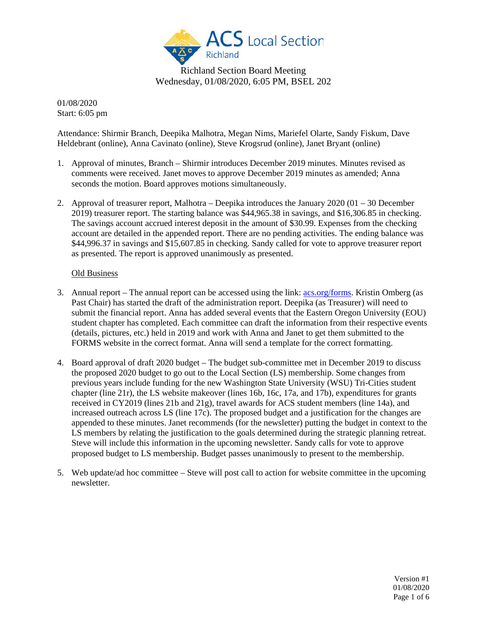

Richland Section Board Meeting Wednesday, 01/08/2020, 6:05 PM, BSEL 202

01/08/2020 Start: 6:05 pm

Attendance: Shirmir Branch, Deepika Malhotra, Megan Nims, Mariefel Olarte, Sandy Fiskum, Dave Heldebrant (online), Anna Cavinato (online), Steve Krogsrud (online), Janet Bryant (online)

- 1. Approval of minutes, Branch Shirmir introduces December 2019 minutes. Minutes revised as comments were received. Janet moves to approve December 2019 minutes as amended; Anna seconds the motion. Board approves motions simultaneously.
- 2. Approval of treasurer report, Malhotra Deepika introduces the January 2020 (01 30 December 2019) treasurer report. The starting balance was \$44,965.38 in savings, and \$16,306.85 in checking. The savings account accrued interest deposit in the amount of \$30.99. Expenses from the checking account are detailed in the appended report. There are no pending activities. The ending balance was \$44,996.37 in savings and \$15,607.85 in checking. Sandy called for vote to approve treasurer report as presented. The report is approved unanimously as presented.

## Old Business

- 3. Annual report The annual report can be accessed using the link: [acs.org/forms.](https://rpts.acs.org/rpts/login.jsf?code=1000) Kristin Omberg (as Past Chair) has started the draft of the administration report. Deepika (as Treasurer) will need to submit the financial report. Anna has added several events that the Eastern Oregon University (EOU) student chapter has completed. Each committee can draft the information from their respective events (details, pictures, etc.) held in 2019 and work with Anna and Janet to get them submitted to the FORMS website in the correct format. Anna will send a template for the correct formatting.
- 4. Board approval of draft 2020 budget The budget sub-committee met in December 2019 to discuss the proposed 2020 budget to go out to the Local Section (LS) membership. Some changes from previous years include funding for the new Washington State University (WSU) Tri-Cities student chapter (line 21r), the LS website makeover (lines 16b, 16c, 17a, and 17b), expenditures for grants received in CY2019 (lines 21b and 21g), travel awards for ACS student members (line 14a), and increased outreach across LS (line 17c). The proposed budget and a justification for the changes are appended to these minutes. Janet recommends (for the newsletter) putting the budget in context to the LS members by relating the justification to the goals determined during the strategic planning retreat. Steve will include this information in the upcoming newsletter. Sandy calls for vote to approve proposed budget to LS membership. Budget passes unanimously to present to the membership.
- 5. Web update/ad hoc committee Steve will post call to action for website committee in the upcoming newsletter.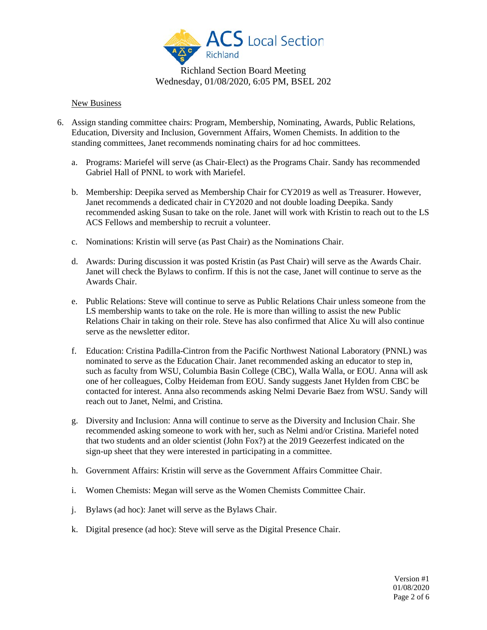

# Richland Section Board Meeting Wednesday, 01/08/2020, 6:05 PM, BSEL 202

### New Business

- 6. Assign standing committee chairs: Program, Membership, Nominating, Awards, Public Relations, Education, Diversity and Inclusion, Government Affairs, Women Chemists. In addition to the standing committees, Janet recommends nominating chairs for ad hoc committees.
	- a. Programs: Mariefel will serve (as Chair-Elect) as the Programs Chair. Sandy has recommended Gabriel Hall of PNNL to work with Mariefel.
	- b. Membership: Deepika served as Membership Chair for CY2019 as well as Treasurer. However, Janet recommends a dedicated chair in CY2020 and not double loading Deepika. Sandy recommended asking Susan to take on the role. Janet will work with Kristin to reach out to the LS ACS Fellows and membership to recruit a volunteer.
	- c. Nominations: Kristin will serve (as Past Chair) as the Nominations Chair.
	- d. Awards: During discussion it was posted Kristin (as Past Chair) will serve as the Awards Chair. Janet will check the Bylaws to confirm. If this is not the case, Janet will continue to serve as the Awards Chair.
	- e. Public Relations: Steve will continue to serve as Public Relations Chair unless someone from the LS membership wants to take on the role. He is more than willing to assist the new Public Relations Chair in taking on their role. Steve has also confirmed that Alice Xu will also continue serve as the newsletter editor.
	- f. Education: Cristina Padilla-Cintron from the Pacific Northwest National Laboratory (PNNL) was nominated to serve as the Education Chair. Janet recommended asking an educator to step in, such as faculty from WSU, Columbia Basin College (CBC), Walla Walla, or EOU. Anna will ask one of her colleagues, Colby Heideman from EOU. Sandy suggests Janet Hylden from CBC be contacted for interest. Anna also recommends asking Nelmi Devarie Baez from WSU. Sandy will reach out to Janet, Nelmi, and Cristina.
	- g. Diversity and Inclusion: Anna will continue to serve as the Diversity and Inclusion Chair. She recommended asking someone to work with her, such as Nelmi and/or Cristina. Mariefel noted that two students and an older scientist (John Fox?) at the 2019 Geezerfest indicated on the sign-up sheet that they were interested in participating in a committee.
	- h. Government Affairs: Kristin will serve as the Government Affairs Committee Chair.
	- i. Women Chemists: Megan will serve as the Women Chemists Committee Chair.
	- j. Bylaws (ad hoc): Janet will serve as the Bylaws Chair.
	- k. Digital presence (ad hoc): Steve will serve as the Digital Presence Chair.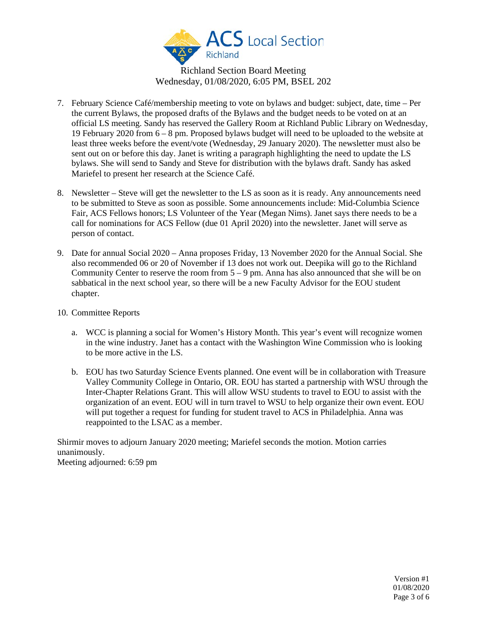

Richland Section Board Meeting Wednesday, 01/08/2020, 6:05 PM, BSEL 202

- 7. February Science Café/membership meeting to vote on bylaws and budget: subject, date, time Per the current Bylaws, the proposed drafts of the Bylaws and the budget needs to be voted on at an official LS meeting. Sandy has reserved the Gallery Room at Richland Public Library on Wednesday, 19 February 2020 from 6 – 8 pm. Proposed bylaws budget will need to be uploaded to the website at least three weeks before the event/vote (Wednesday, 29 January 2020). The newsletter must also be sent out on or before this day. Janet is writing a paragraph highlighting the need to update the LS bylaws. She will send to Sandy and Steve for distribution with the bylaws draft. Sandy has asked Mariefel to present her research at the Science Café.
- 8. Newsletter Steve will get the newsletter to the LS as soon as it is ready. Any announcements need to be submitted to Steve as soon as possible. Some announcements include: Mid-Columbia Science Fair, ACS Fellows honors; LS Volunteer of the Year (Megan Nims). Janet says there needs to be a call for nominations for ACS Fellow (due 01 April 2020) into the newsletter. Janet will serve as person of contact.
- 9. Date for annual Social 2020 Anna proposes Friday, 13 November 2020 for the Annual Social. She also recommended 06 or 20 of November if 13 does not work out. Deepika will go to the Richland Community Center to reserve the room from  $5 - 9$  pm. Anna has also announced that she will be on sabbatical in the next school year, so there will be a new Faculty Advisor for the EOU student chapter.
- 10. Committee Reports
	- a. WCC is planning a social for Women's History Month. This year's event will recognize women in the wine industry. Janet has a contact with the Washington Wine Commission who is looking to be more active in the LS.
	- b. EOU has two Saturday Science Events planned. One event will be in collaboration with Treasure Valley Community College in Ontario, OR. EOU has started a partnership with WSU through the Inter-Chapter Relations Grant. This will allow WSU students to travel to EOU to assist with the organization of an event. EOU will in turn travel to WSU to help organize their own event. EOU will put together a request for funding for student travel to ACS in Philadelphia. Anna was reappointed to the LSAC as a member.

Shirmir moves to adjourn January 2020 meeting; Mariefel seconds the motion. Motion carries unanimously. Meeting adjourned: 6:59 pm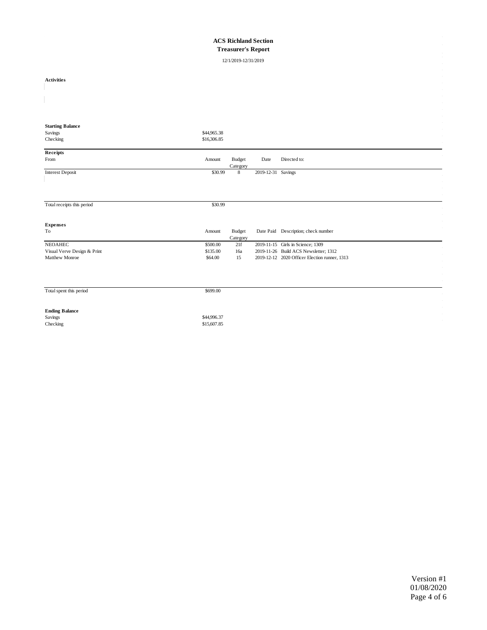#### **ACS Richland Section Treasurer's Report**

12/1/2019-12/31/2019

| <b>Activities</b>           |                            |                           |                    |                                               |  |
|-----------------------------|----------------------------|---------------------------|--------------------|-----------------------------------------------|--|
|                             |                            |                           |                    |                                               |  |
|                             |                            |                           |                    |                                               |  |
| <b>Starting Balance</b>     |                            |                           |                    |                                               |  |
| Savings                     | \$44,965.38                |                           |                    |                                               |  |
| Checking                    | \$16,306.85                |                           |                    |                                               |  |
| Receipts                    |                            |                           |                    |                                               |  |
| From                        | Amount                     | <b>Budget</b><br>Category | Date               | Directed to:                                  |  |
| <b>Interest Deposit</b>     | \$30.99                    | $\,$ 8 $\,$               | 2019-12-31 Savings |                                               |  |
|                             |                            |                           |                    |                                               |  |
|                             |                            |                           |                    |                                               |  |
| Total receipts this period  | \$30.99                    |                           |                    |                                               |  |
|                             |                            |                           |                    |                                               |  |
| <b>Expenses</b>             |                            |                           |                    |                                               |  |
| To                          | Amount                     | <b>Budget</b>             |                    | Date Paid Description; check number           |  |
|                             |                            | Category                  |                    |                                               |  |
| <b>NEOAHEC</b>              | \$500.00                   | 21f                       |                    | 2019-11-15 Girls in Science; 1309             |  |
| Visual Verve Design & Print | \$135.00                   | 16a                       |                    | 2019-11-26 Build ACS Newsletter; 1312         |  |
| Matthew Monroe              | \$64.00                    | 15                        |                    | 2019-12-12 2020 Officer Election runner, 1313 |  |
|                             |                            |                           |                    |                                               |  |
|                             |                            |                           |                    |                                               |  |
| Total spent this period     | \$699.00                   |                           |                    |                                               |  |
|                             |                            |                           |                    |                                               |  |
| <b>Ending Balance</b>       |                            |                           |                    |                                               |  |
| Savings                     | \$44,996.37<br>\$15,607.85 |                           |                    |                                               |  |
| Checking                    |                            |                           |                    |                                               |  |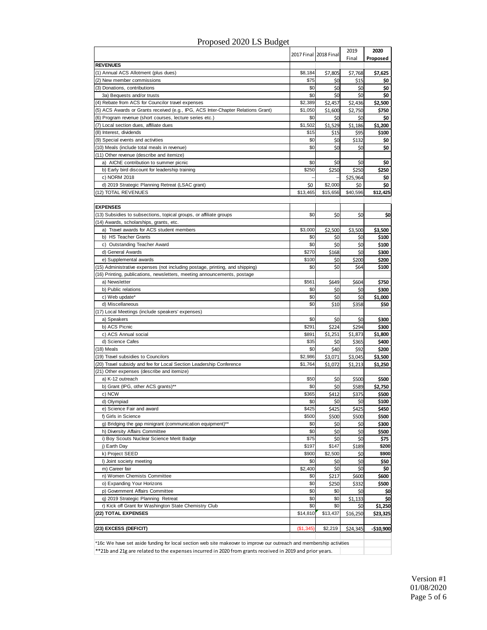|                                                                                                                      |           | 2017 Final 2018 Final | 2019<br>Final | 2020<br>Proposed |  |  |
|----------------------------------------------------------------------------------------------------------------------|-----------|-----------------------|---------------|------------------|--|--|
| <b>REVENUES</b>                                                                                                      |           |                       |               |                  |  |  |
| (1) Annual ACS Allotment (plus dues)                                                                                 | \$8,184   | \$7,805               | \$7,768       | \$7,625          |  |  |
| (2) New member commissions                                                                                           | \$75      | \$0                   | \$15          | \$0              |  |  |
| (3) Donations, contributions                                                                                         | \$0       | \$0                   | \$0           | \$0              |  |  |
| 3a) Bequests and/or trusts                                                                                           | \$0       | \$0                   | \$0           | \$0              |  |  |
| (4) Rebate from ACS for Councilor travel expenses                                                                    | \$2,389   | \$2,457               | \$2,436       | \$2,500          |  |  |
| (5) ACS Awards or Grants received (e.g., IPG, ACS Inter-Chapter Relations Grant)                                     | \$1,050   | \$1,600               | \$2,750       | \$750            |  |  |
| (6) Program revenue (short courses, lecture series etc.)                                                             | \$0       | \$0                   | \$0           | \$0              |  |  |
| (7) Local section dues, affiliate dues                                                                               | \$1,502   | \$1,529               | \$1,186       | \$1,200          |  |  |
| (8) Interest, dividends                                                                                              | \$15      | \$15                  | \$95          | \$100            |  |  |
| (9) Special events and activities                                                                                    | \$0       | \$0                   | \$132         | \$0              |  |  |
| (10) Meals (include total meals in revenue)                                                                          | \$0       | \$0                   | \$0           | \$0              |  |  |
| (11) Other revenue (describe and itemize)                                                                            |           |                       |               |                  |  |  |
| a) AIChE contribution to summer picnic                                                                               | \$0       | \$0                   | \$0           | \$0              |  |  |
| b) Early bird discount for leadership training                                                                       | \$250     | \$250                 | \$250         | \$250            |  |  |
| c) NORM 2018                                                                                                         |           |                       | \$25,964      | \$0              |  |  |
| d) 2019 Strategic Planning Retreat (LSAC grant)                                                                      | \$0       | \$2,000               | \$0           | \$0              |  |  |
| (12) TOTAL REVENUES                                                                                                  | \$13,465  | \$15,656              | \$40,596      | \$12,425         |  |  |
|                                                                                                                      |           |                       |               |                  |  |  |
| <b>EXPENSES</b>                                                                                                      |           |                       |               |                  |  |  |
| (13) Subsidies to subsections, topical groups, or affiliate groups<br>(14) Awards, scholarships, grants, etc.        | \$0       | \$0                   | \$0           | \$0              |  |  |
| a) Travel awards for ACS student members                                                                             | \$3,000   |                       |               |                  |  |  |
| b) HS Teacher Grants                                                                                                 | \$0       | \$2,500<br>\$0        | \$3,500       | \$3,500<br>\$100 |  |  |
| c) Outstanding Teacher Award                                                                                         | \$0       | \$0                   | \$0<br>\$0    | \$100            |  |  |
| d) General Awards                                                                                                    | \$270     | \$168                 | \$0           | \$300            |  |  |
| e) Supplemental awards                                                                                               | \$100     | \$0                   | \$200         | \$200            |  |  |
| (15) Administrative expenses (not including postage, printing, and shipping)                                         | \$0       | \$0                   | \$64          | \$100            |  |  |
| (16) Printing, publications, newsletters, meeting announcements, postage                                             |           |                       |               |                  |  |  |
| a) Newsletter                                                                                                        | \$561     | \$649                 | \$604         | \$750            |  |  |
| b) Public relations                                                                                                  | \$0       | \$0                   | \$0           | \$300            |  |  |
| c) Web update*                                                                                                       | \$0       | \$0                   | \$0           | \$1,000          |  |  |
| d) Miscellaneous                                                                                                     | \$0       | \$10                  | \$358         | \$50             |  |  |
| (17) Local Meetings (include speakers' expenses)                                                                     |           |                       |               |                  |  |  |
| a) Speakers                                                                                                          | \$0       | \$0                   | \$0           | \$300            |  |  |
| b) ACS Picnic                                                                                                        | \$291     | \$224                 | \$294         | \$300            |  |  |
| c) ACS Annual social                                                                                                 | \$891     | \$1,251               | \$1,873       | \$1,800          |  |  |
| d) Science Cafes                                                                                                     | \$35      | \$0                   | \$365         | \$400            |  |  |
| (18) Meals                                                                                                           | \$0       | \$40                  | \$92          | \$200            |  |  |
| (19) Travel subsidies to Councilors                                                                                  | \$2,986   | \$3,071               | \$3,045       | \$3,500          |  |  |
| (20) Travel subsidy and fee for Local Section Leadership Conference                                                  | \$1,764   | \$1,072               | \$1,213       | \$1,250          |  |  |
| (21) Other expenses (describe and itemize)                                                                           |           |                       |               |                  |  |  |
| a) K-12 outreach                                                                                                     | \$50      | \$0                   | \$500         | \$500            |  |  |
| b) Grant (IPG, other ACS grants)**                                                                                   | \$0       | \$0                   | \$589         | \$2,750          |  |  |
| c) NCW                                                                                                               | \$365     | \$412                 | \$375         | \$500            |  |  |
| d) Olympiad                                                                                                          | \$0       | \$0                   | \$0           | \$100            |  |  |
| e) Science Fair and award                                                                                            | \$425     | \$425                 | \$425         | \$450            |  |  |
| f) Girls in Science                                                                                                  | \$500     | \$500                 | \$500         | \$500            |  |  |
| g) Bridging the gap minigrant (communication equipment)**                                                            | \$0       | \$0                   | \$0           | \$300            |  |  |
| h) Diversity Affairs Committee                                                                                       | \$0       | \$0                   | \$0           | \$500            |  |  |
| i) Boy Scouts Nuclear Science Merit Badge                                                                            | \$75      | \$0                   | \$0           | \$75             |  |  |
| j) Earth Day                                                                                                         | \$197     | \$147                 | \$189         | \$200            |  |  |
| k) Project SEED                                                                                                      | \$900     | \$2,500               | \$0           | \$900            |  |  |
| I) Joint society meeting                                                                                             | \$0       | \$0                   | \$0           | \$50             |  |  |
| m) Career fair                                                                                                       | \$2,400   | \$0                   | \$0           | \$0              |  |  |
| n) Women Chemists Committee                                                                                          | \$0       | \$217                 | \$600         | \$600            |  |  |
| o) Expanding Your Horizons                                                                                           | \$0       | \$250                 | \$332         | \$500            |  |  |
| p) Government Affairs Committee                                                                                      | \$0       | \$0                   | \$0           | \$0              |  |  |
| q) 2019 Strategic Planning Retreat                                                                                   | \$0       | \$0                   | \$1,133       | \$0              |  |  |
| r) Kick off Grant for Washington State Chemistry Club                                                                | \$0       | \$0                   | \$0           | \$1,250          |  |  |
| (22) TOTAL EXPENSES                                                                                                  | \$14,810  | \$13,437              | \$16,250      | \$23,325         |  |  |
|                                                                                                                      |           |                       |               |                  |  |  |
| (23) EXCESS (DEFICIT)                                                                                                | (\$1,345) | \$2,219               | \$24,345      | -\$10,900        |  |  |
| *16c We have set aside funding for local section web site makeover to improve our outreach and membership activities |           |                       |               |                  |  |  |

\*\*21b and 21g are related to the expenses incurred in 2020 from grants received in 2019 and prior years.

### Proposed 2020 LS Budget

Version #1 01/08/2020 Page 5 of 6